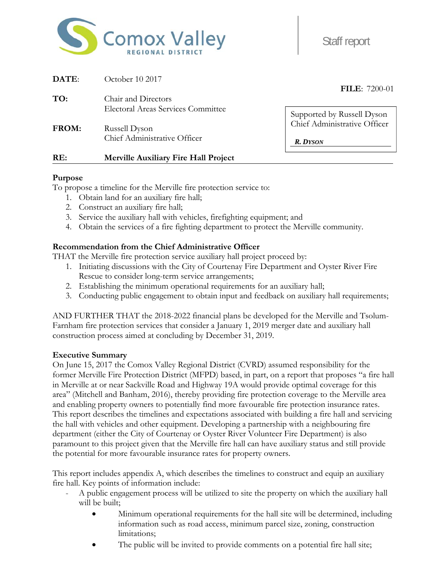

Staff report

| RE:          | <b>Merville Auxiliary Fire Hall Project</b> |                                                            |
|--------------|---------------------------------------------|------------------------------------------------------------|
|              | Chief Administrative Officer                | <b>R.</b> DYSON                                            |
| <b>FROM:</b> | Russell Dyson                               | Supported by Russell Dyson<br>Chief Administrative Officer |
|              | <b>Electoral Areas Services Committee</b>   |                                                            |
| TO:          | Chair and Directors                         |                                                            |
| DATE:        | October 10 2017                             | <b>FILE:</b> 7200-01                                       |

### **Purpose**

To propose a timeline for the Merville fire protection service to:

- 1. Obtain land for an auxiliary fire hall;
- 2. Construct an auxiliary fire hall;
- 3. Service the auxiliary hall with vehicles, firefighting equipment; and
- 4. Obtain the services of a fire fighting department to protect the Merville community.

### **Recommendation from the Chief Administrative Officer**

THAT the Merville fire protection service auxiliary hall project proceed by:

- 1. Initiating discussions with the City of Courtenay Fire Department and Oyster River Fire Rescue to consider long-term service arrangements;
- 2. Establishing the minimum operational requirements for an auxiliary hall;
- 3. Conducting public engagement to obtain input and feedback on auxiliary hall requirements;

AND FURTHER THAT the 2018-2022 financial plans be developed for the Merville and Tsolum-Farnham fire protection services that consider a January 1, 2019 merger date and auxiliary hall construction process aimed at concluding by December 31, 2019.

#### **Executive Summary**

On June 15, 2017 the Comox Valley Regional District (CVRD) assumed responsibility for the former Merville Fire Protection District (MFPD) based, in part, on a report that proposes "a fire hall in Merville at or near Sackville Road and Highway 19A would provide optimal coverage for this area" (Mitchell and Banham, 2016), thereby providing fire protection coverage to the Merville area and enabling property owners to potentially find more favourable fire protection insurance rates. This report describes the timelines and expectations associated with building a fire hall and servicing the hall with vehicles and other equipment. Developing a partnership with a neighbouring fire department (either the City of Courtenay or Oyster River Volunteer Fire Department) is also paramount to this project given that the Merville fire hall can have auxiliary status and still provide the potential for more favourable insurance rates for property owners.

This report includes appendix A, which describes the timelines to construct and equip an auxiliary fire hall. Key points of information include:

- A public engagement process will be utilized to site the property on which the auxiliary hall will be built;
	- Minimum operational requirements for the hall site will be determined, including information such as road access, minimum parcel size, zoning, construction limitations;
	- The public will be invited to provide comments on a potential fire hall site;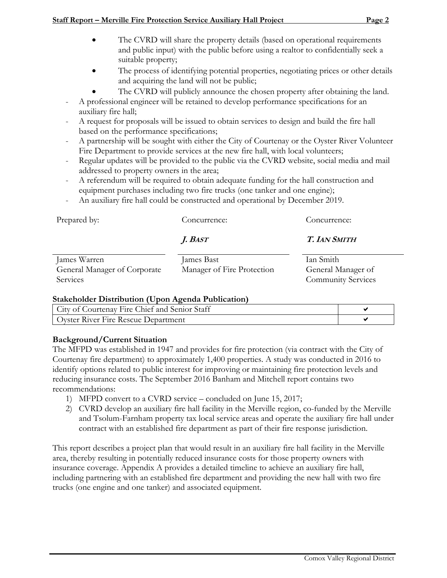### **Staff Report – Merville Fire Protection Service Auxiliary Hall Project Page 2**

- The CVRD will share the property details (based on operational requirements and public input) with the public before using a realtor to confidentially seek a suitable property;
- The process of identifying potential properties, negotiating prices or other details and acquiring the land will not be public;
	- The CVRD will publicly announce the chosen property after obtaining the land.
- A professional engineer will be retained to develop performance specifications for an auxiliary fire hall;
- A request for proposals will be issued to obtain services to design and build the fire hall based on the performance specifications;
- A partnership will be sought with either the City of Courtenay or the Oyster River Volunteer Fire Department to provide services at the new fire hall, with local volunteers;
- Regular updates will be provided to the public via the CVRD website, social media and mail addressed to property owners in the area;
- A referendum will be required to obtain adequate funding for the hall construction and equipment purchases including two fire trucks (one tanker and one engine);
- An auxiliary fire hall could be constructed and operational by December 2019.

| Prepared by:                                             | Concurrence:                             | Concurrence:                                                 |  |  |  |  |
|----------------------------------------------------------|------------------------------------------|--------------------------------------------------------------|--|--|--|--|
|                                                          | J. Bast                                  | <b>T. IAN SMITH</b>                                          |  |  |  |  |
| James Warren<br>General Manager of Corporate<br>Services | James Bast<br>Manager of Fire Protection | Ian Smith<br>General Manager of<br><b>Community Services</b> |  |  |  |  |

# **Stakeholder Distribution (Upon Agenda Publication)**

| City of Courtenay Fire Chief and Senior Staff |  |
|-----------------------------------------------|--|
| Oyster River Fire Rescue Department           |  |

# **Background/Current Situation**

The MFPD was established in 1947 and provides for fire protection (via contract with the City of Courtenay fire department) to approximately 1,400 properties. A study was conducted in 2016 to identify options related to public interest for improving or maintaining fire protection levels and reducing insurance costs. The September 2016 Banham and Mitchell report contains two recommendations:

- 1) MFPD convert to a CVRD service concluded on June 15, 2017;
- 2) CVRD develop an auxiliary fire hall facility in the Merville region, co-funded by the Merville and Tsolum-Farnham property tax local service areas and operate the auxiliary fire hall under contract with an established fire department as part of their fire response jurisdiction.

This report describes a project plan that would result in an auxiliary fire hall facility in the Merville area, thereby resulting in potentially reduced insurance costs for those property owners with insurance coverage. Appendix A provides a detailed timeline to achieve an auxiliary fire hall, including partnering with an established fire department and providing the new hall with two fire trucks (one engine and one tanker) and associated equipment.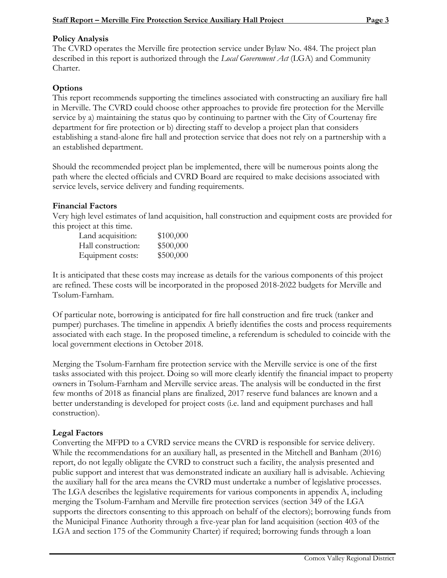## **Policy Analysis**

The CVRD operates the Merville fire protection service under Bylaw No. 484. The project plan described in this report is authorized through the *Local Government Act* (LGA) and Community Charter.

# **Options**

This report recommends supporting the timelines associated with constructing an auxiliary fire hall in Merville. The CVRD could choose other approaches to provide fire protection for the Merville service by a) maintaining the status quo by continuing to partner with the City of Courtenay fire department for fire protection or b) directing staff to develop a project plan that considers establishing a stand-alone fire hall and protection service that does not rely on a partnership with a an established department.

Should the recommended project plan be implemented, there will be numerous points along the path where the elected officials and CVRD Board are required to make decisions associated with service levels, service delivery and funding requirements.

## **Financial Factors**

Very high level estimates of land acquisition, hall construction and equipment costs are provided for this project at this time.

| Land acquisition:  | \$100,000 |
|--------------------|-----------|
| Hall construction: | \$500,000 |
| Equipment costs:   | \$500,000 |

It is anticipated that these costs may increase as details for the various components of this project are refined. These costs will be incorporated in the proposed 2018-2022 budgets for Merville and Tsolum-Farnham.

Of particular note, borrowing is anticipated for fire hall construction and fire truck (tanker and pumper) purchases. The timeline in appendix A briefly identifies the costs and process requirements associated with each stage. In the proposed timeline, a referendum is scheduled to coincide with the local government elections in October 2018.

Merging the Tsolum-Farnham fire protection service with the Merville service is one of the first tasks associated with this project. Doing so will more clearly identify the financial impact to property owners in Tsolum-Farnham and Merville service areas. The analysis will be conducted in the first few months of 2018 as financial plans are finalized, 2017 reserve fund balances are known and a better understanding is developed for project costs (i.e. land and equipment purchases and hall construction).

# **Legal Factors**

Converting the MFPD to a CVRD service means the CVRD is responsible for service delivery. While the recommendations for an auxiliary hall, as presented in the Mitchell and Banham (2016) report, do not legally obligate the CVRD to construct such a facility, the analysis presented and public support and interest that was demonstrated indicate an auxiliary hall is advisable. Achieving the auxiliary hall for the area means the CVRD must undertake a number of legislative processes. The LGA describes the legislative requirements for various components in appendix A, including merging the Tsolum-Farnham and Merville fire protection services (section 349 of the LGA supports the directors consenting to this approach on behalf of the electors); borrowing funds from the Municipal Finance Authority through a five-year plan for land acquisition (section 403 of the LGA and section 175 of the Community Charter) if required; borrowing funds through a loan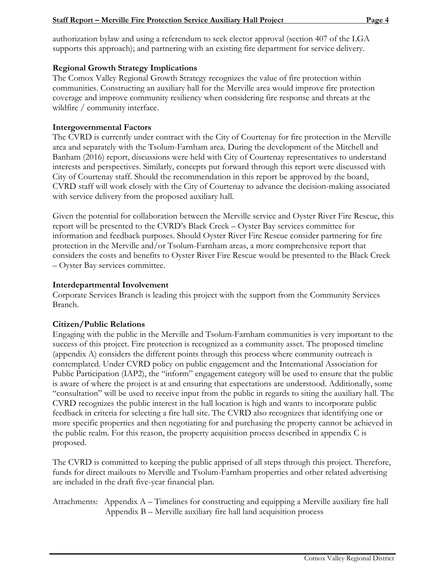authorization bylaw and using a referendum to seek elector approval (section 407 of the LGA supports this approach); and partnering with an existing fire department for service delivery.

### **Regional Growth Strategy Implications**

The Comox Valley Regional Growth Strategy recognizes the value of fire protection within communities. Constructing an auxiliary hall for the Merville area would improve fire protection coverage and improve community resiliency when considering fire response and threats at the wildfire / community interface.

#### **Intergovernmental Factors**

The CVRD is currently under contract with the City of Courtenay for fire protection in the Merville area and separately with the Tsolum-Farnham area. During the development of the Mitchell and Banham (2016) report, discussions were held with City of Courtenay representatives to understand interests and perspectives. Similarly, concepts put forward through this report were discussed with City of Courtenay staff. Should the recommendation in this report be approved by the board, CVRD staff will work closely with the City of Courtenay to advance the decision-making associated with service delivery from the proposed auxiliary hall.

Given the potential for collaboration between the Merville service and Oyster River Fire Rescue, this report will be presented to the CVRD's Black Creek – Oyster Bay services committee for information and feedback purposes. Should Oyster River Fire Rescue consider partnering for fire protection in the Merville and/or Tsolum-Farnham areas, a more comprehensive report that considers the costs and benefits to Oyster River Fire Rescue would be presented to the Black Creek – Oyster Bay services committee.

#### **Interdepartmental Involvement**

Corporate Services Branch is leading this project with the support from the Community Services Branch.

### **Citizen/Public Relations**

Engaging with the public in the Merville and Tsolum-Farnham communities is very important to the success of this project. Fire protection is recognized as a community asset. The proposed timeline (appendix A) considers the different points through this process where community outreach is contemplated. Under CVRD policy on public engagement and the International Association for Public Participation (IAP2), the "inform" engagement category will be used to ensure that the public is aware of where the project is at and ensuring that expectations are understood. Additionally, some "consultation" will be used to receive input from the public in regards to siting the auxiliary hall. The CVRD recognizes the public interest in the hall location is high and wants to incorporate public feedback in criteria for selecting a fire hall site. The CVRD also recognizes that identifying one or more specific properties and then negotiating for and purchasing the property cannot be achieved in the public realm. For this reason, the property acquisition process described in appendix C is proposed.

The CVRD is committed to keeping the public apprised of all steps through this project. Therefore, funds for direct mailouts to Merville and Tsolum-Farnham properties and other related advertising are included in the draft five-year financial plan.

Attachments: Appendix A – Timelines for constructing and equipping a Merville auxiliary fire hall Appendix B – Merville auxiliary fire hall land acquisition process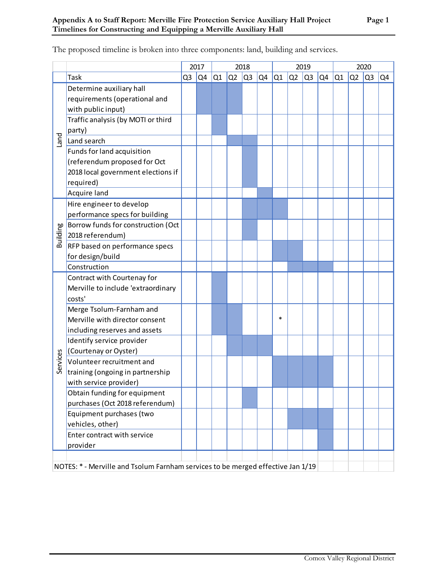|          |                                                                                 |                | 2017 | 2018 |                |                |    |        | 2019           |                | 2020           |    |    |                |    |
|----------|---------------------------------------------------------------------------------|----------------|------|------|----------------|----------------|----|--------|----------------|----------------|----------------|----|----|----------------|----|
|          | Task                                                                            | Q <sub>3</sub> | Q4   | Q1   | Q <sub>2</sub> | Q <sub>3</sub> | Q4 | Q1     | Q <sub>2</sub> | Q <sub>3</sub> | Q <sub>4</sub> | Q1 | Q2 | Q <sub>3</sub> | Q4 |
|          | Determine auxiliary hall                                                        |                |      |      |                |                |    |        |                |                |                |    |    |                |    |
|          | requirements (operational and                                                   |                |      |      |                |                |    |        |                |                |                |    |    |                |    |
|          | with public input)                                                              |                |      |      |                |                |    |        |                |                |                |    |    |                |    |
|          | Traffic analysis (by MOTI or third                                              |                |      |      |                |                |    |        |                |                |                |    |    |                |    |
| puel     | party)                                                                          |                |      |      |                |                |    |        |                |                |                |    |    |                |    |
|          | Land search                                                                     |                |      |      |                |                |    |        |                |                |                |    |    |                |    |
|          | Funds for land acquisition                                                      |                |      |      |                |                |    |        |                |                |                |    |    |                |    |
|          | (referendum proposed for Oct                                                    |                |      |      |                |                |    |        |                |                |                |    |    |                |    |
|          | 2018 local government elections if                                              |                |      |      |                |                |    |        |                |                |                |    |    |                |    |
|          | required)                                                                       |                |      |      |                |                |    |        |                |                |                |    |    |                |    |
|          | Acquire land                                                                    |                |      |      |                |                |    |        |                |                |                |    |    |                |    |
|          | Hire engineer to develop                                                        |                |      |      |                |                |    |        |                |                |                |    |    |                |    |
|          | performance specs for building                                                  |                |      |      |                |                |    |        |                |                |                |    |    |                |    |
|          | Borrow funds for construction (Oct                                              |                |      |      |                |                |    |        |                |                |                |    |    |                |    |
| Building | 2018 referendum)                                                                |                |      |      |                |                |    |        |                |                |                |    |    |                |    |
|          | RFP based on performance specs                                                  |                |      |      |                |                |    |        |                |                |                |    |    |                |    |
|          | for design/build                                                                |                |      |      |                |                |    |        |                |                |                |    |    |                |    |
|          | Construction                                                                    |                |      |      |                |                |    |        |                |                |                |    |    |                |    |
|          | Contract with Courtenay for                                                     |                |      |      |                |                |    |        |                |                |                |    |    |                |    |
|          | Merville to include 'extraordinary                                              |                |      |      |                |                |    |        |                |                |                |    |    |                |    |
|          | costs'                                                                          |                |      |      |                |                |    |        |                |                |                |    |    |                |    |
|          | Merge Tsolum-Farnham and                                                        |                |      |      |                |                |    |        |                |                |                |    |    |                |    |
|          | Merville with director consent                                                  |                |      |      |                |                |    | $\ast$ |                |                |                |    |    |                |    |
|          | including reserves and assets                                                   |                |      |      |                |                |    |        |                |                |                |    |    |                |    |
|          | Identify service provider                                                       |                |      |      |                |                |    |        |                |                |                |    |    |                |    |
|          | (Courtenay or Oyster)                                                           |                |      |      |                |                |    |        |                |                |                |    |    |                |    |
| Services | Volunteer recruitment and                                                       |                |      |      |                |                |    |        |                |                |                |    |    |                |    |
|          | training (ongoing in partnership                                                |                |      |      |                |                |    |        |                |                |                |    |    |                |    |
|          | with service provider)                                                          |                |      |      |                |                |    |        |                |                |                |    |    |                |    |
|          | Obtain funding for equipment                                                    |                |      |      |                |                |    |        |                |                |                |    |    |                |    |
|          | purchases (Oct 2018 referendum)                                                 |                |      |      |                |                |    |        |                |                |                |    |    |                |    |
|          | Equipment purchases (two                                                        |                |      |      |                |                |    |        |                |                |                |    |    |                |    |
|          | vehicles, other)                                                                |                |      |      |                |                |    |        |                |                |                |    |    |                |    |
|          | Enter contract with service                                                     |                |      |      |                |                |    |        |                |                |                |    |    |                |    |
|          | provider                                                                        |                |      |      |                |                |    |        |                |                |                |    |    |                |    |
|          |                                                                                 |                |      |      |                |                |    |        |                |                |                |    |    |                |    |
|          | NOTES: * - Merville and Tsolum Farnham services to be merged effective Jan 1/19 |                |      |      |                |                |    |        |                |                |                |    |    |                |    |

The proposed timeline is broken into three components: land, building and services.